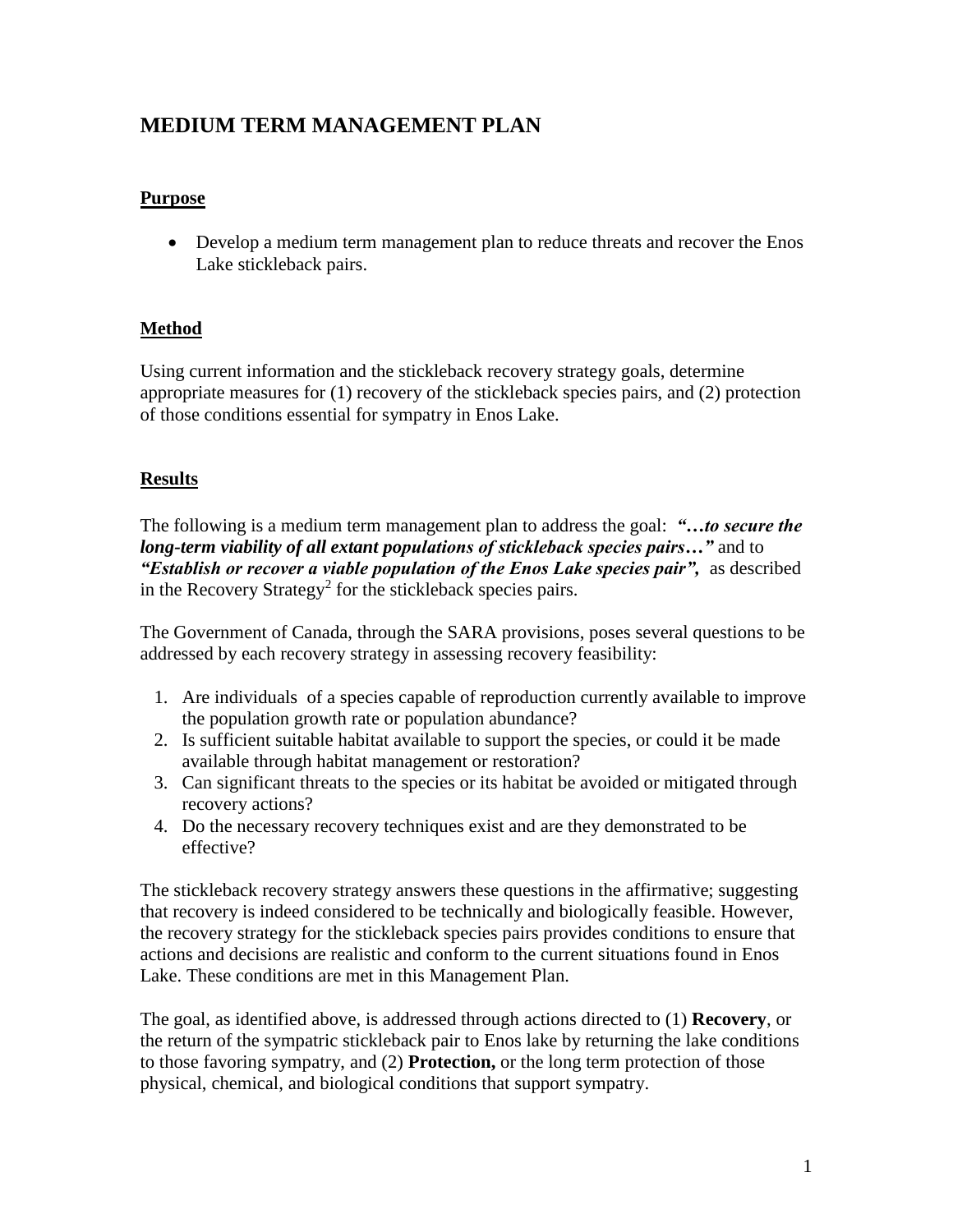# **MEDIUM TERM MANAGEMENT PLAN**

# **Purpose**

• Develop a medium term management plan to reduce threats and recover the Enos Lake stickleback pairs.

# **Method**

Using current information and the stickleback recovery strategy goals, determine appropriate measures for (1) recovery of the stickleback species pairs, and (2) protection of those conditions essential for sympatry in Enos Lake.

# **Results**

The following is a medium term management plan to address the goal: *"…to secure the long-term viability of all extant populations of stickleback species pairs…"* and to *"Establish or recover a viable population of the Enos Lake species pair",* as described in the Recovery Strategy<sup>2</sup> for the stickleback species pairs.

The Government of Canada, through the SARA provisions, poses several questions to be addressed by each recovery strategy in assessing recovery feasibility:

- 1. Are individuals of a species capable of reproduction currently available to improve the population growth rate or population abundance?
- 2. Is sufficient suitable habitat available to support the species, or could it be made available through habitat management or restoration?
- 3. Can significant threats to the species or its habitat be avoided or mitigated through recovery actions?
- 4. Do the necessary recovery techniques exist and are they demonstrated to be effective?

The stickleback recovery strategy answers these questions in the affirmative; suggesting that recovery is indeed considered to be technically and biologically feasible. However, the recovery strategy for the stickleback species pairs provides conditions to ensure that actions and decisions are realistic and conform to the current situations found in Enos Lake. These conditions are met in this Management Plan.

The goal, as identified above, is addressed through actions directed to (1) **Recovery**, or the return of the sympatric stickleback pair to Enos lake by returning the lake conditions to those favoring sympatry, and (2) **Protection,** or the long term protection of those physical, chemical, and biological conditions that support sympatry.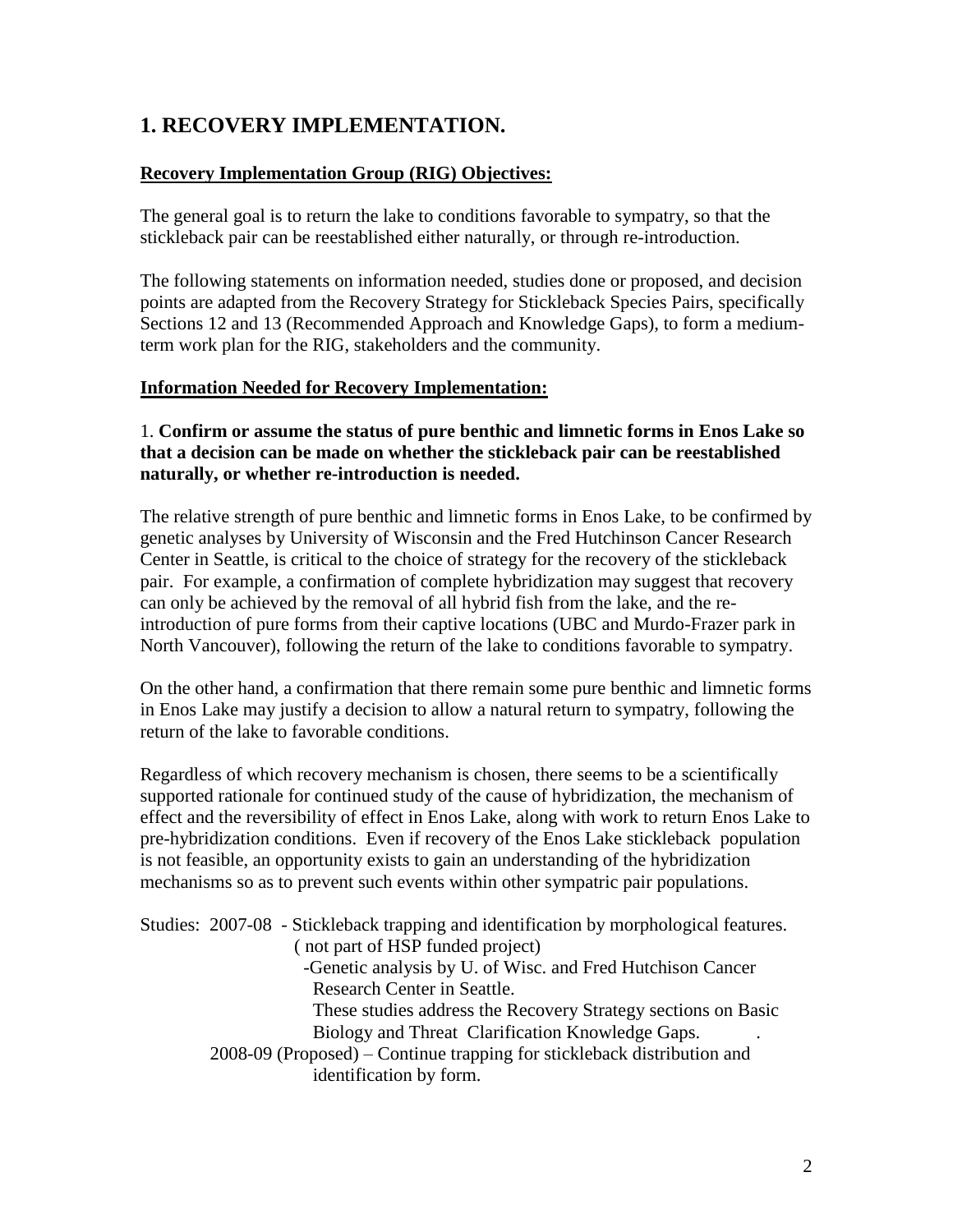# **1. RECOVERY IMPLEMENTATION.**

# **Recovery Implementation Group (RIG) Objectives:**

The general goal is to return the lake to conditions favorable to sympatry, so that the stickleback pair can be reestablished either naturally, or through re-introduction.

The following statements on information needed, studies done or proposed, and decision points are adapted from the Recovery Strategy for Stickleback Species Pairs, specifically Sections 12 and 13 (Recommended Approach and Knowledge Gaps), to form a mediumterm work plan for the RIG, stakeholders and the community.

# **Information Needed for Recovery Implementation:**

## 1. **Confirm or assume the status of pure benthic and limnetic forms in Enos Lake so that a decision can be made on whether the stickleback pair can be reestablished naturally, or whether re-introduction is needed.**

The relative strength of pure benthic and limnetic forms in Enos Lake, to be confirmed by genetic analyses by University of Wisconsin and the Fred Hutchinson Cancer Research Center in Seattle, is critical to the choice of strategy for the recovery of the stickleback pair. For example, a confirmation of complete hybridization may suggest that recovery can only be achieved by the removal of all hybrid fish from the lake, and the reintroduction of pure forms from their captive locations (UBC and Murdo-Frazer park in North Vancouver), following the return of the lake to conditions favorable to sympatry.

On the other hand, a confirmation that there remain some pure benthic and limnetic forms in Enos Lake may justify a decision to allow a natural return to sympatry, following the return of the lake to favorable conditions.

Regardless of which recovery mechanism is chosen, there seems to be a scientifically supported rationale for continued study of the cause of hybridization, the mechanism of effect and the reversibility of effect in Enos Lake, along with work to return Enos Lake to pre-hybridization conditions. Even if recovery of the Enos Lake stickleback population is not feasible, an opportunity exists to gain an understanding of the hybridization mechanisms so as to prevent such events within other sympatric pair populations.

|  | Studies: 2007-08 - Stickleback trapping and identification by morphological features.<br>(not part of HSP funded project)<br>-Genetic analysis by U. of Wisc. and Fred Hutchison Cancer |
|--|-----------------------------------------------------------------------------------------------------------------------------------------------------------------------------------------|
|  | Research Center in Seattle.                                                                                                                                                             |
|  | These studies address the Recovery Strategy sections on Basic                                                                                                                           |
|  | Biology and Threat Clarification Knowledge Gaps.                                                                                                                                        |
|  | $2008-09$ (Proposed) – Continue trapping for stickleback distribution and<br>identification by form.                                                                                    |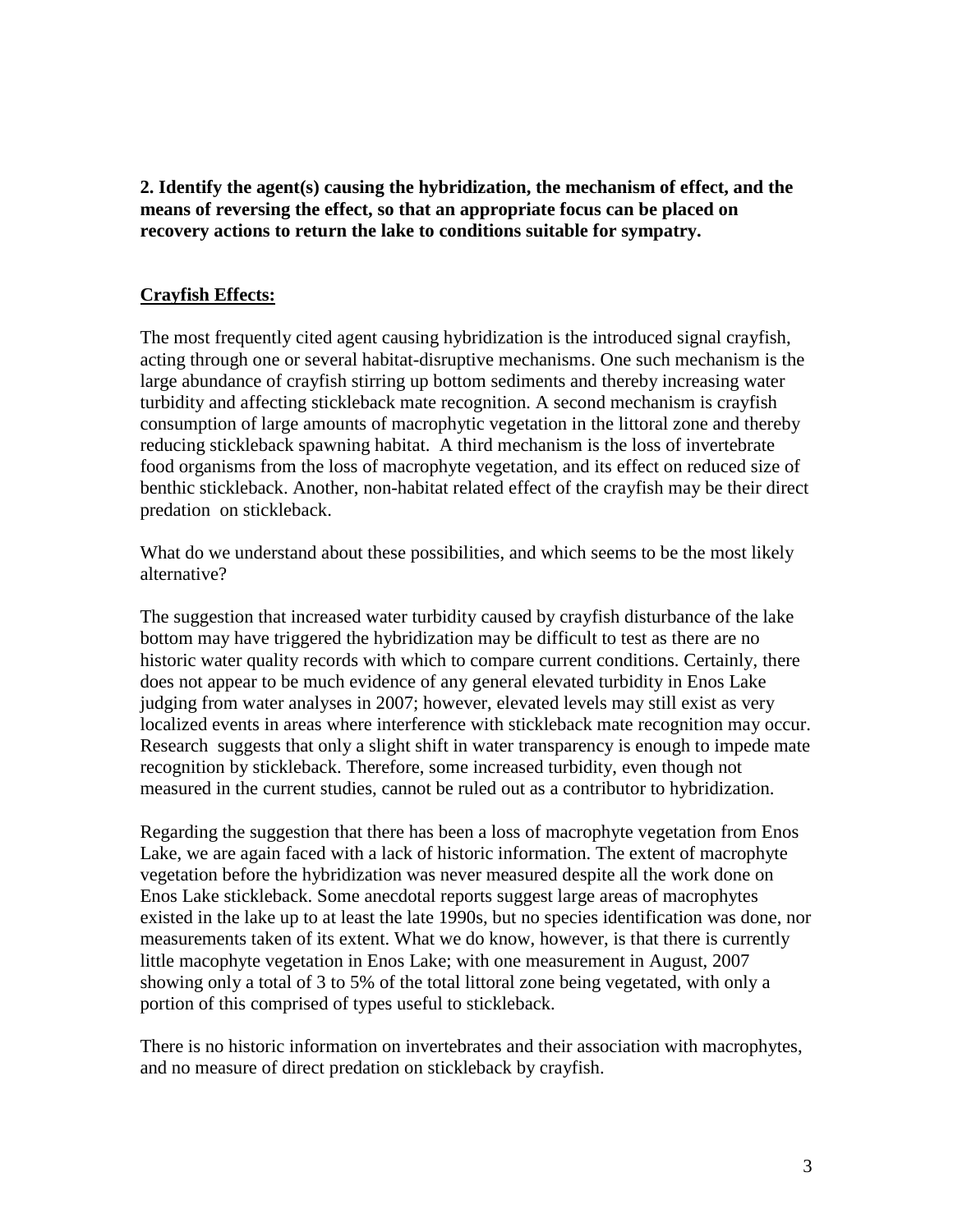**2. Identify the agent(s) causing the hybridization, the mechanism of effect, and the means of reversing the effect, so that an appropriate focus can be placed on recovery actions to return the lake to conditions suitable for sympatry.**

## **Crayfish Effects:**

The most frequently cited agent causing hybridization is the introduced signal crayfish, acting through one or several habitat-disruptive mechanisms. One such mechanism is the large abundance of crayfish stirring up bottom sediments and thereby increasing water turbidity and affecting stickleback mate recognition. A second mechanism is crayfish consumption of large amounts of macrophytic vegetation in the littoral zone and thereby reducing stickleback spawning habitat. A third mechanism is the loss of invertebrate food organisms from the loss of macrophyte vegetation, and its effect on reduced size of benthic stickleback. Another, non-habitat related effect of the crayfish may be their direct predation on stickleback.

What do we understand about these possibilities, and which seems to be the most likely alternative?

The suggestion that increased water turbidity caused by crayfish disturbance of the lake bottom may have triggered the hybridization may be difficult to test as there are no historic water quality records with which to compare current conditions. Certainly, there does not appear to be much evidence of any general elevated turbidity in Enos Lake judging from water analyses in 2007; however, elevated levels may still exist as very localized events in areas where interference with stickleback mate recognition may occur. Research suggests that only a slight shift in water transparency is enough to impede mate recognition by stickleback. Therefore, some increased turbidity, even though not measured in the current studies, cannot be ruled out as a contributor to hybridization.

Regarding the suggestion that there has been a loss of macrophyte vegetation from Enos Lake, we are again faced with a lack of historic information. The extent of macrophyte vegetation before the hybridization was never measured despite all the work done on Enos Lake stickleback. Some anecdotal reports suggest large areas of macrophytes existed in the lake up to at least the late 1990s, but no species identification was done, nor measurements taken of its extent. What we do know, however, is that there is currently little macophyte vegetation in Enos Lake; with one measurement in August, 2007 showing only a total of 3 to 5% of the total littoral zone being vegetated, with only a portion of this comprised of types useful to stickleback.

There is no historic information on invertebrates and their association with macrophytes, and no measure of direct predation on stickleback by crayfish.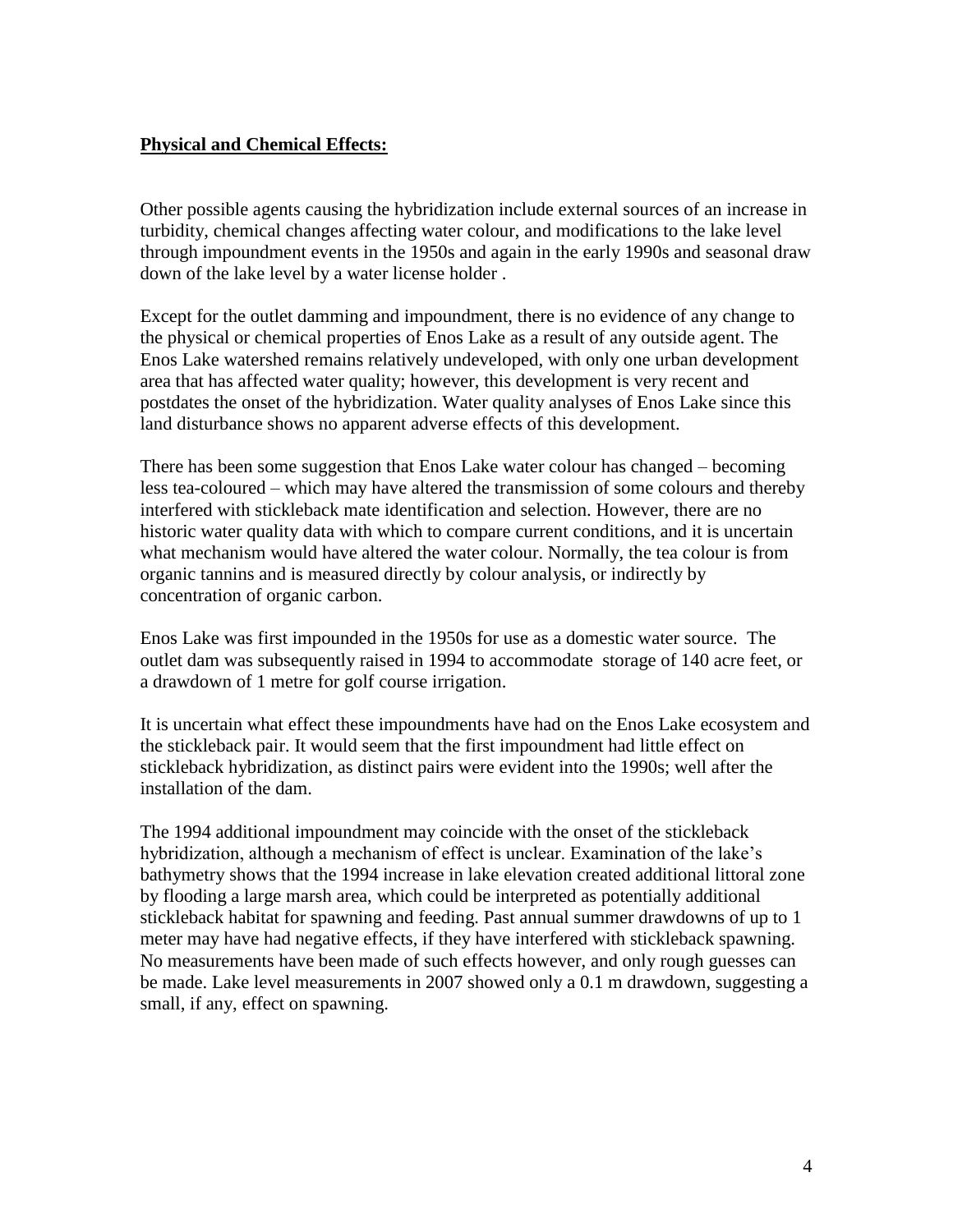## **Physical and Chemical Effects:**

Other possible agents causing the hybridization include external sources of an increase in turbidity, chemical changes affecting water colour, and modifications to the lake level through impoundment events in the 1950s and again in the early 1990s and seasonal draw down of the lake level by a water license holder .

Except for the outlet damming and impoundment, there is no evidence of any change to the physical or chemical properties of Enos Lake as a result of any outside agent. The Enos Lake watershed remains relatively undeveloped, with only one urban development area that has affected water quality; however, this development is very recent and postdates the onset of the hybridization. Water quality analyses of Enos Lake since this land disturbance shows no apparent adverse effects of this development.

There has been some suggestion that Enos Lake water colour has changed – becoming less tea-coloured – which may have altered the transmission of some colours and thereby interfered with stickleback mate identification and selection. However, there are no historic water quality data with which to compare current conditions, and it is uncertain what mechanism would have altered the water colour. Normally, the tea colour is from organic tannins and is measured directly by colour analysis, or indirectly by concentration of organic carbon.

Enos Lake was first impounded in the 1950s for use as a domestic water source. The outlet dam was subsequently raised in 1994 to accommodate storage of 140 acre feet, or a drawdown of 1 metre for golf course irrigation.

It is uncertain what effect these impoundments have had on the Enos Lake ecosystem and the stickleback pair. It would seem that the first impoundment had little effect on stickleback hybridization, as distinct pairs were evident into the 1990s; well after the installation of the dam.

The 1994 additional impoundment may coincide with the onset of the stickleback hybridization, although a mechanism of effect is unclear. Examination of the lake's bathymetry shows that the 1994 increase in lake elevation created additional littoral zone by flooding a large marsh area, which could be interpreted as potentially additional stickleback habitat for spawning and feeding. Past annual summer drawdowns of up to 1 meter may have had negative effects, if they have interfered with stickleback spawning. No measurements have been made of such effects however, and only rough guesses can be made. Lake level measurements in 2007 showed only a 0.1 m drawdown, suggesting a small, if any, effect on spawning.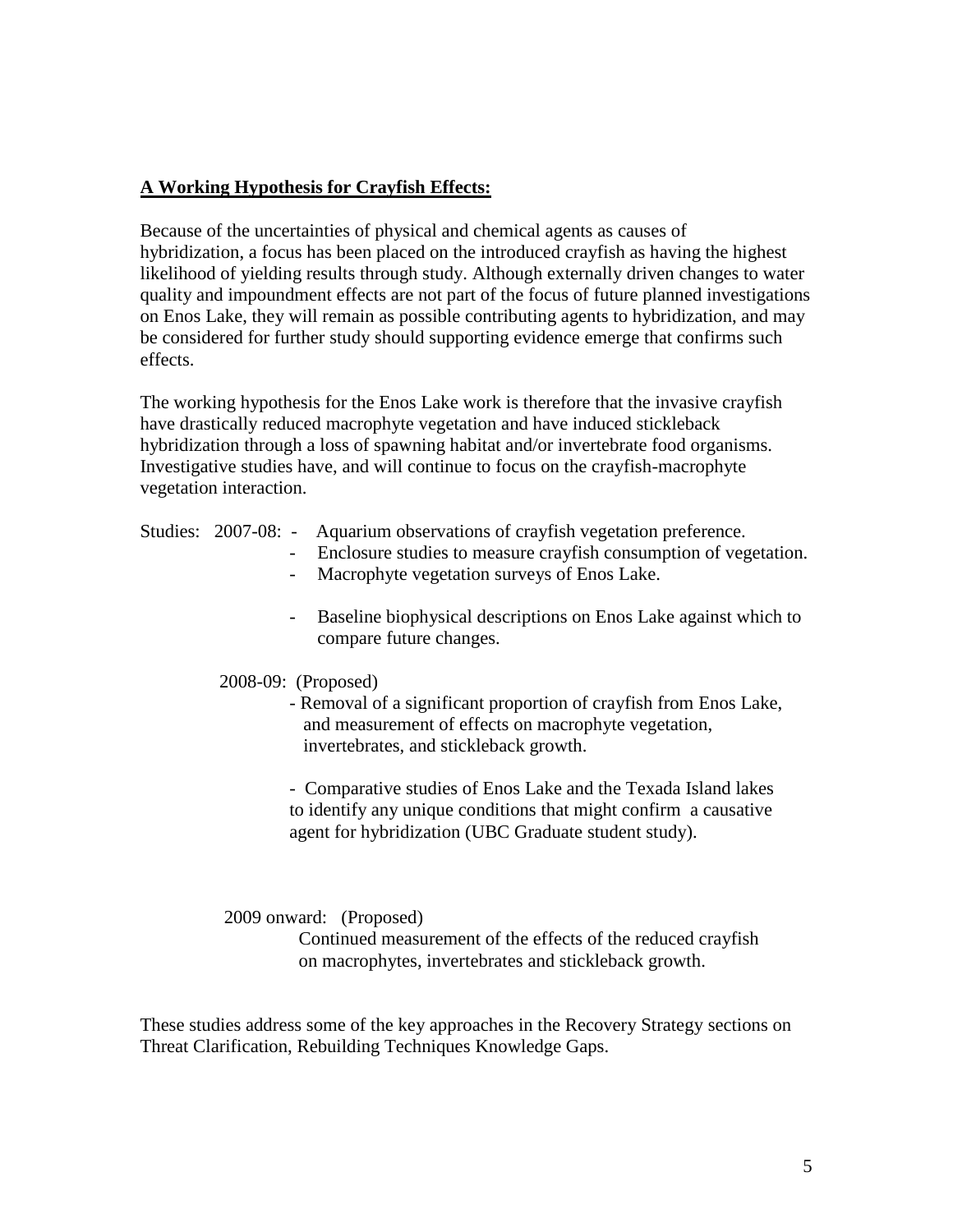## **A Working Hypothesis for Crayfish Effects:**

Because of the uncertainties of physical and chemical agents as causes of hybridization, a focus has been placed on the introduced crayfish as having the highest likelihood of yielding results through study. Although externally driven changes to water quality and impoundment effects are not part of the focus of future planned investigations on Enos Lake, they will remain as possible contributing agents to hybridization, and may be considered for further study should supporting evidence emerge that confirms such effects.

The working hypothesis for the Enos Lake work is therefore that the invasive crayfish have drastically reduced macrophyte vegetation and have induced stickleback hybridization through a loss of spawning habitat and/or invertebrate food organisms. Investigative studies have, and will continue to focus on the crayfish-macrophyte vegetation interaction.

|  |  | Studies: 2007-08: - |  | Aquarium observations of crayfish vegetation preference. |  |
|--|--|---------------------|--|----------------------------------------------------------|--|
|--|--|---------------------|--|----------------------------------------------------------|--|

- Enclosure studies to measure crayfish consumption of vegetation.
	- Macrophyte vegetation surveys of Enos Lake.
	- Baseline biophysical descriptions on Enos Lake against which to compare future changes.

#### 2008-09: (Proposed)

 - Removal of a significant proportion of crayfish from Enos Lake, and measurement of effects on macrophyte vegetation, invertebrates, and stickleback growth.

- Comparative studies of Enos Lake and the Texada Island lakes to identify any unique conditions that might confirm a causative agent for hybridization (UBC Graduate student study).

2009 onward: (Proposed)

 Continued measurement of the effects of the reduced crayfish on macrophytes, invertebrates and stickleback growth.

These studies address some of the key approaches in the Recovery Strategy sections on Threat Clarification, Rebuilding Techniques Knowledge Gaps.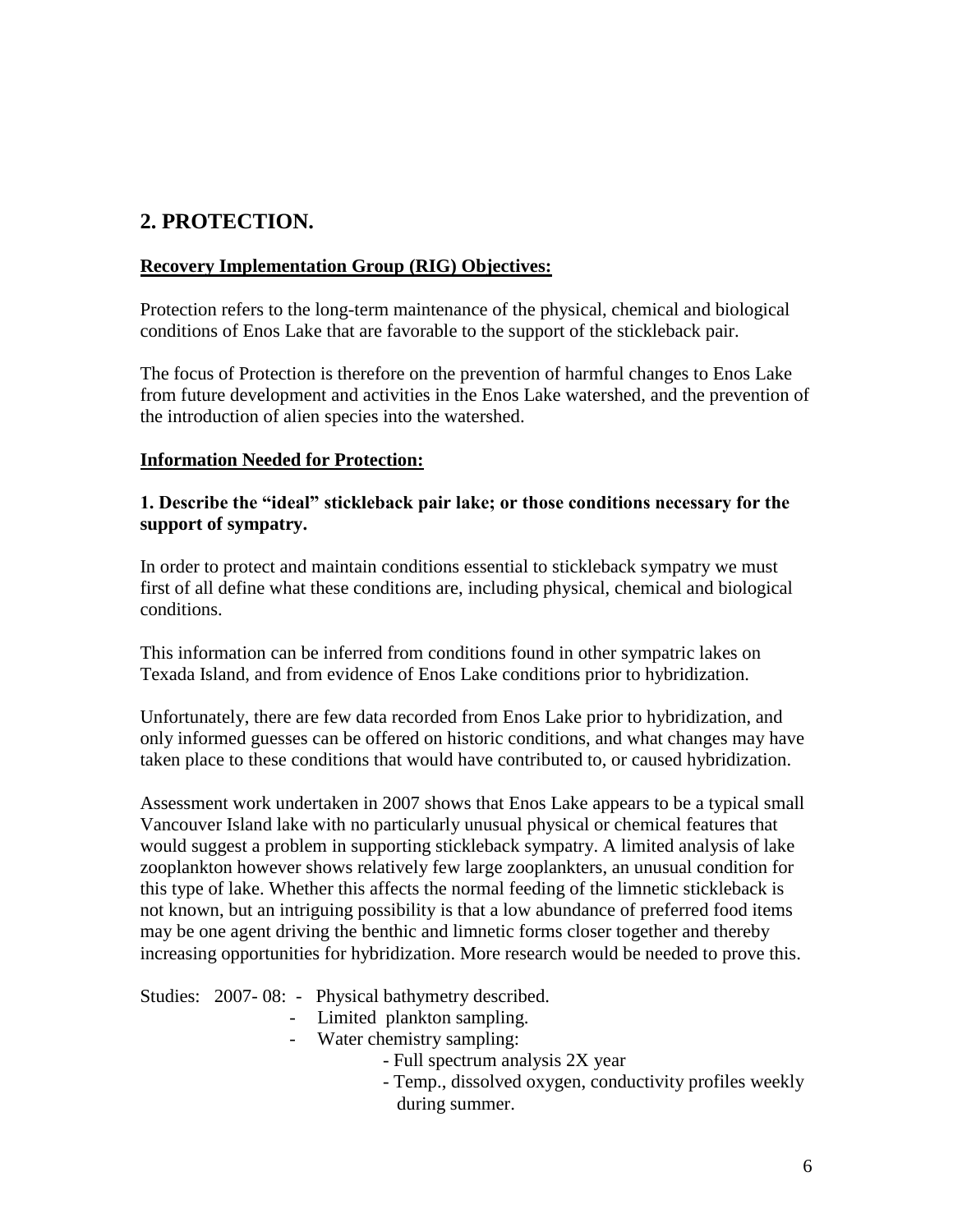# **2. PROTECTION.**

### **Recovery Implementation Group (RIG) Objectives:**

Protection refers to the long-term maintenance of the physical, chemical and biological conditions of Enos Lake that are favorable to the support of the stickleback pair.

The focus of Protection is therefore on the prevention of harmful changes to Enos Lake from future development and activities in the Enos Lake watershed, and the prevention of the introduction of alien species into the watershed.

### **Information Needed for Protection:**

### **1. Describe the "ideal" stickleback pair lake; or those conditions necessary for the support of sympatry.**

In order to protect and maintain conditions essential to stickleback sympatry we must first of all define what these conditions are, including physical, chemical and biological conditions.

This information can be inferred from conditions found in other sympatric lakes on Texada Island, and from evidence of Enos Lake conditions prior to hybridization.

Unfortunately, there are few data recorded from Enos Lake prior to hybridization, and only informed guesses can be offered on historic conditions, and what changes may have taken place to these conditions that would have contributed to, or caused hybridization.

Assessment work undertaken in 2007 shows that Enos Lake appears to be a typical small Vancouver Island lake with no particularly unusual physical or chemical features that would suggest a problem in supporting stickleback sympatry. A limited analysis of lake zooplankton however shows relatively few large zooplankters, an unusual condition for this type of lake. Whether this affects the normal feeding of the limnetic stickleback is not known, but an intriguing possibility is that a low abundance of preferred food items may be one agent driving the benthic and limnetic forms closer together and thereby increasing opportunities for hybridization. More research would be needed to prove this.

Studies: 2007- 08: - Physical bathymetry described.

- Limited plankton sampling.
- Water chemistry sampling:
	- Full spectrum analysis 2X year
	- Temp., dissolved oxygen, conductivity profiles weekly during summer.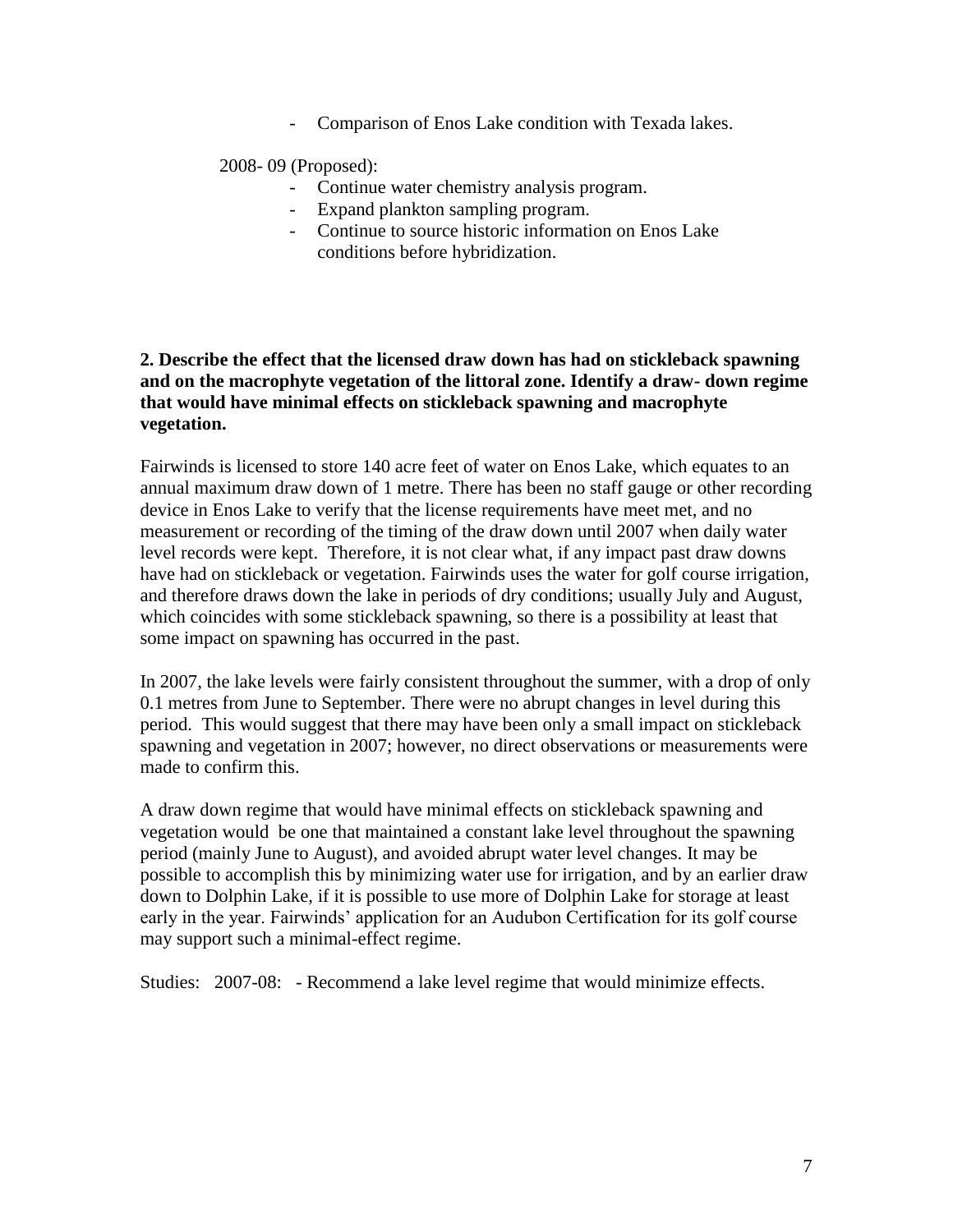Comparison of Enos Lake condition with Texada lakes.

2008- 09 (Proposed):

- Continue water chemistry analysis program.
- Expand plankton sampling program.
- Continue to source historic information on Enos Lake conditions before hybridization.

### **2. Describe the effect that the licensed draw down has had on stickleback spawning and on the macrophyte vegetation of the littoral zone. Identify a draw- down regime that would have minimal effects on stickleback spawning and macrophyte vegetation.**

Fairwinds is licensed to store 140 acre feet of water on Enos Lake, which equates to an annual maximum draw down of 1 metre. There has been no staff gauge or other recording device in Enos Lake to verify that the license requirements have meet met, and no measurement or recording of the timing of the draw down until 2007 when daily water level records were kept. Therefore, it is not clear what, if any impact past draw downs have had on stickleback or vegetation. Fairwinds uses the water for golf course irrigation, and therefore draws down the lake in periods of dry conditions; usually July and August, which coincides with some stickleback spawning, so there is a possibility at least that some impact on spawning has occurred in the past.

In 2007, the lake levels were fairly consistent throughout the summer, with a drop of only 0.1 metres from June to September. There were no abrupt changes in level during this period. This would suggest that there may have been only a small impact on stickleback spawning and vegetation in 2007; however, no direct observations or measurements were made to confirm this.

A draw down regime that would have minimal effects on stickleback spawning and vegetation would be one that maintained a constant lake level throughout the spawning period (mainly June to August), and avoided abrupt water level changes. It may be possible to accomplish this by minimizing water use for irrigation, and by an earlier draw down to Dolphin Lake, if it is possible to use more of Dolphin Lake for storage at least early in the year. Fairwinds' application for an Audubon Certification for its golf course may support such a minimal-effect regime.

Studies: 2007-08: - Recommend a lake level regime that would minimize effects.